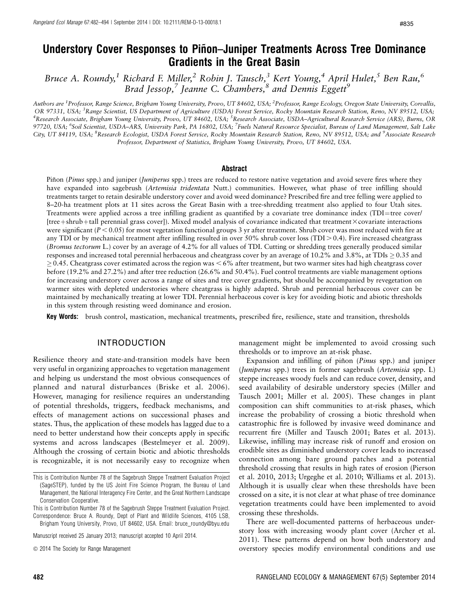# Understory Cover Responses to Piñon–Juniper Treatments Across Tree Dominance Gradients in the Great Basin

Bruce A. Roundy,<sup>1</sup> Richard F. Miller,<sup>2</sup> Robin J. Tausch,<sup>3</sup> Kert Young,<sup>4</sup> April Hulet,<sup>5</sup> Ben Rau,<sup>6</sup> Brad Jessop,<sup>7</sup> Jeanne C. Chambers,<sup>8</sup> and Dennis Eggett<sup>9</sup>

Authors are <sup>1</sup>Professor, Range Science, Brigham Young University, Provo, UT 84602, USA; <sup>2</sup>Professor, Range Ecology, Oregon State University, Corvallis, OR 97331, USA; <sup>3</sup>Range Scientist, US Department of Agriculture (USDA) Forest Service, Rocky Mountain Research Station, Reno, NV 89512, USA; <sup>4</sup>Research Station, Reno, NV 89512, USA; <sup>4</sup>Research Station, Reno, NV 89512, US Research Associate, Brigham Young University, Provo, UT 84602, USA; <sup>5</sup>Research Associate, USDA–Agricultural Research Service (ARS), Burns, OR 97720, USA; <sup>6</sup>Soil Scientist, USDA–ARS, University Park, PA 16802, USA; <sup>7</sup>Fuels Natural Resource Specialist, Bureau of Land Management, Salt Lake City, UT 84119, USA; <sup>8</sup>Research Ecologist, USDA Forest Service, Rocky Mountain Research Station, Reno, NV 89512, USA; and <sup>9</sup>Associate Research Professor, Department of Statistics, Brigham Young University, Provo, UT 84602, USA.

#### **Abstract**

Piñon (Pinus spp.) and juniper (Juniperus spp.) trees are reduced to restore native vegetation and avoid severe fires where they have expanded into sagebrush (*Artemisia tridentata* Nutt.) communities. However, what phase of tree infilling should treatments target to retain desirable understory cover and avoid weed dominance? Prescribed fire and tree felling were applied to 8–20-ha treatment plots at 11 sites across the Great Basin with a tree-shredding treatment also applied to four Utah sites. Treatments were applied across a tree infilling gradient as quantified by a covariate tree dominance index (TDI=tree cover/  $[tree + shrub + tall$  perennial grass cover]). Mixed model analysis of covariance indicated that treatment×covariate interactions were significant ( $P < 0.05$ ) for most vegetation functional groups 3 yr after treatment. Shrub cover was most reduced with fire at any TDI or by mechanical treatment after infilling resulted in over  $50\%$  shrub cover loss (TDI  $> 0.4$ ). Fire increased cheatgrass (Bromus tectorum L.) cover by an average of 4.2% for all values of TDI. Cutting or shredding trees generally produced similar responses and increased total perennial herbaceous and cheatgrass cover by an average of 10.2% and 3.8%, at TDIs  $\geq$  0.35 and  $\ge$  0.45. Cheatgrass cover estimated across the region was  $<$  6% after treatment, but two warmer sites had high cheatgrass cover before (19.2% and 27.2%) and after tree reduction (26.6% and 50.4%). Fuel control treatments are viable management options for increasing understory cover across a range of sites and tree cover gradients, but should be accompanied by revegetation on warmer sites with depleted understories where cheatgrass is highly adapted. Shrub and perennial herbaceous cover can be maintained by mechanically treating at lower TDI. Perennial herbaceous cover is key for avoiding biotic and abiotic thresholds in this system through resisting weed dominance and erosion.

Key Words: brush control, mastication, mechanical treatments, prescribed fire, resilience, state and transition, thresholds

### INTRODUCTION

Resilience theory and state-and-transition models have been very useful in organizing approaches to vegetation management and helping us understand the most obvious consequences of planned and natural disturbances (Briske et al. 2006). However, managing for resilience requires an understanding of potential thresholds, triggers, feedback mechanisms, and effects of management actions on successional phases and states. Thus, the application of these models has lagged due to a need to better understand how their concepts apply in specific systems and across landscapes (Bestelmeyer et al. 2009). Although the crossing of certain biotic and abiotic thresholds is recognizable, it is not necessarily easy to recognize when

Manuscript received 25 January 2013; manuscript accepted 10 April 2014.

 $\odot$  2014 The Society for Range Management

management might be implemented to avoid crossing such thresholds or to improve an at-risk phase.

Expansion and infilling of piñon (Pinus spp.) and juniper (Juniperus spp.) trees in former sagebrush (Artemisia spp. L) steppe increases woody fuels and can reduce cover, density, and seed availability of desirable understory species (Miller and Tausch 2001; Miller et al. 2005). These changes in plant composition can shift communities to at-risk phases, which increase the probability of crossing a biotic threshold when catastrophic fire is followed by invasive weed dominance and recurrent fire (Miller and Tausch 2001; Bates et al. 2013). Likewise, infilling may increase risk of runoff and erosion on erodible sites as diminished understory cover leads to increased connection among bare ground patches and a potential threshold crossing that results in high rates of erosion (Pierson et al. 2010, 2013; Urgeghe et al. 2010; Williams et al. 2013). Although it is usually clear when these thresholds have been crossed on a site, it is not clear at what phase of tree dominance vegetation treatments could have been implemented to avoid crossing these thresholds.

There are well-documented patterns of herbaceous understory loss with increasing woody plant cover (Archer et al. 2011). These patterns depend on how both understory and overstory species modify environmental conditions and use

This is Contribution Number 78 of the Sagebrush Steppe Treatment Evaluation Project (SageSTEP), funded by the US Joint Fire Science Program, the Bureau of Land Management, the National Interagency Fire Center, and the Great Northern Landscape Conservation Cooperative.

This is Contribution Number 78 of the Sagebrush Steppe Treatment Evaluation Project. Correspondence: Bruce A. Roundy, Dept of Plant and Wildlife Sciences, 4105 LSB, Brigham Young University, Provo, UT 84602, USA. Email: bruce\_roundy@byu.edu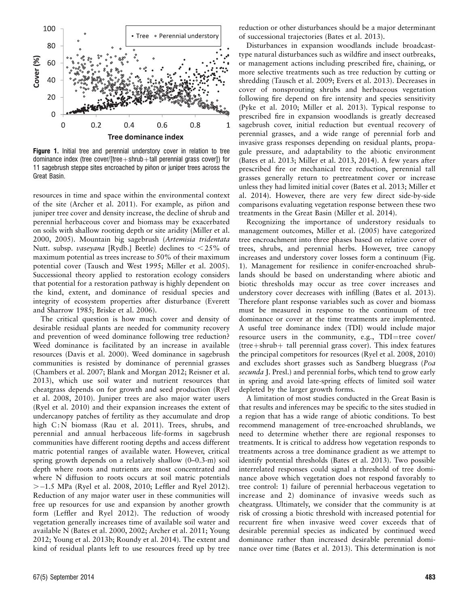

Figure 1. Initial tree and perennial understory cover in relation to tree dominance index (tree cover/[tree  $+$  shrub  $+$  tall perennial grass cover]) for 11 sagebrush steppe sites encroached by piñon or juniper trees across the Great Basin.

resources in time and space within the environmental context of the site (Archer et al. 2011). For example, as piñon and juniper tree cover and density increase, the decline of shrub and perennial herbaceous cover and biomass may be exacerbated on soils with shallow rooting depth or site aridity (Miller et al. 2000, 2005). Mountain big sagebrush (Artemisia tridentata Nutt. subsp. *vaseyana* [Rydb.] Beetle) declines to  $\lt 25\%$  of maximum potential as trees increase to 50% of their maximum potential cover (Tausch and West 1995; Miller et al. 2005). Successional theory applied to restoration ecology considers that potential for a restoration pathway is highly dependent on the kind, extent, and dominance of residual species and integrity of ecosystem properties after disturbance (Everett and Sharrow 1985; Briske et al. 2006).

The critical question is how much cover and density of desirable residual plants are needed for community recovery and prevention of weed dominance following tree reduction? Weed dominance is facilitated by an increase in available resources (Davis et al. 2000). Weed dominance in sagebrush communities is resisted by dominance of perennial grasses (Chambers et al. 2007; Blank and Morgan 2012; Reisner et al. 2013), which use soil water and nutrient resources that cheatgrass depends on for growth and seed production (Ryel et al. 2008, 2010). Juniper trees are also major water users (Ryel et al. 2010) and their expansion increases the extent of undercanopy patches of fertility as they accumulate and drop high C: N biomass (Rau et al. 2011). Trees, shrubs, and perennial and annual herbaceous life-forms in sagebrush communities have different rooting depths and access different matric potential ranges of available water. However, critical spring growth depends on a relatively shallow (0–0.3-m) soil depth where roots and nutrients are most concentrated and where N diffusion to roots occurs at soil matric potentials  $> -1.5$  MPa (Ryel et al. 2008, 2010; Leffler and Ryel 2012). Reduction of any major water user in these communities will free up resources for use and expansion by another growth form (Leffler and Ryel 2012). The reduction of woody vegetation generally increases time of available soil water and available N (Bates et al. 2000, 2002; Archer et al. 2011; Young 2012; Young et al. 2013b; Roundy et al. 2014). The extent and kind of residual plants left to use resources freed up by tree

reduction or other disturbances should be a major determinant of successional trajectories (Bates et al. 2013).

Disturbances in expansion woodlands include broadcasttype natural disturbances such as wildfire and insect outbreaks, or management actions including prescribed fire, chaining, or more selective treatments such as tree reduction by cutting or shredding (Tausch et al. 2009; Evers et al. 2013). Decreases in cover of nonsprouting shrubs and herbaceous vegetation following fire depend on fire intensity and species sensitivity (Pyke et al. 2010; Miller et al. 2013). Typical response to prescribed fire in expansion woodlands is greatly decreased sagebrush cover, initial reduction but eventual recovery of perennial grasses, and a wide range of perennial forb and invasive grass responses depending on residual plants, propagule pressure, and adaptability to the abiotic environment (Bates et al. 2013; Miller et al. 2013, 2014). A few years after prescribed fire or mechanical tree reduction, perennial tall grasses generally return to pretreatment cover or increase unless they had limited initial cover (Bates et al. 2013; Miller et al. 2014). However, there are very few direct side-by-side comparisons evaluating vegetation response between these two treatments in the Great Basin (Miller et al. 2014).

Recognizing the importance of understory residuals to management outcomes, Miller et al. (2005) have categorized tree encroachment into three phases based on relative cover of trees, shrubs, and perennial herbs. However, tree canopy increases and understory cover losses form a continuum (Fig. 1). Management for resilience in conifer-encroached shrublands should be based on understanding where abiotic and biotic thresholds may occur as tree cover increases and understory cover decreases with infilling (Bates et al. 2013). Therefore plant response variables such as cover and biomass must be measured in response to the continuum of tree dominance or cover at the time treatments are implemented. A useful tree dominance index (TDI) would include major resource users in the community, e.g., TDI=tree cover/  $(tree + shrub + tall$  perennial grass cover). This index features the principal competitors for resources (Ryel et al. 2008, 2010) and excludes short grasses such as Sandberg bluegrass (Poa secunda J. Presl.) and perennial forbs, which tend to grow early in spring and avoid late-spring effects of limited soil water depleted by the larger growth forms.

A limitation of most studies conducted in the Great Basin is that results and inferences may be specific to the sites studied in a region that has a wide range of abiotic conditions. To best recommend management of tree-encroached shrublands, we need to determine whether there are regional responses to treatments. It is critical to address how vegetation responds to treatments across a tree dominance gradient as we attempt to identify potential thresholds (Bates et al. 2013). Two possible interrelated responses could signal a threshold of tree dominance above which vegetation does not respond favorably to tree control: 1) failure of perennial herbaceous vegetation to increase and 2) dominance of invasive weeds such as cheatgrass. Ultimately, we consider that the community is at risk of crossing a biotic threshold with increased potential for recurrent fire when invasive weed cover exceeds that of desirable perennial species as indicated by continued weed dominance rather than increased desirable perennial dominance over time (Bates et al. 2013). This determination is not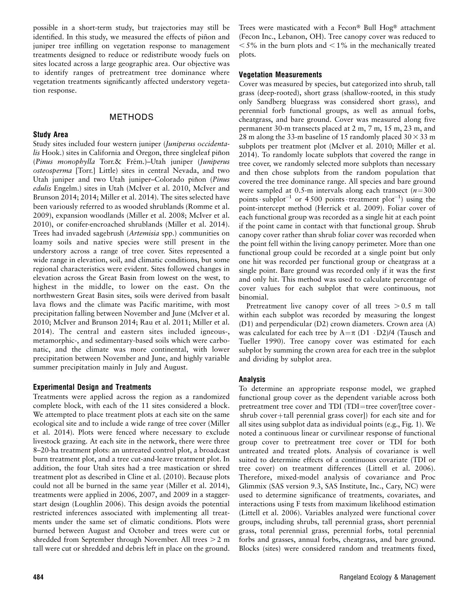possible in a short-term study, but trajectories may still be identified. In this study, we measured the effects of piñon and juniper tree infilling on vegetation response to management treatments designed to reduce or redistribute woody fuels on sites located across a large geographic area. Our objective was to identify ranges of pretreatment tree dominance where vegetation treatments significantly affected understory vegetation response.

## METHODS

#### Study Area

Study sites included four western juniper (Juniperus occidentalis Hook.) sites in California and Oregon, three singleleaf piñon (Pinus monophylla Torr.& Frém.)–Utah juniper (Juniperus osteosperma [Torr.] Little) sites in central Nevada, and two Utah juniper and two Utah juniper–Colorado piñon (Pinus edulis Engelm.) sites in Utah (McIver et al. 2010, McIver and Brunson 2014; 2014; Miller et al. 2014). The sites selected have been variously referred to as wooded shrublands (Romme et al. 2009), expansion woodlands (Miller et al. 2008; McIver et al. 2010), or conifer-encroached shrublands (Miller et al. 2014). Trees had invaded sagebrush (Artemisia spp.) communities on loamy soils and native species were still present in the understory across a range of tree cover. Sites represented a wide range in elevation, soil, and climatic conditions, but some regional characteristics were evident. Sites followed changes in elevation across the Great Basin from lowest on the west, to highest in the middle, to lower on the east. On the northwestern Great Basin sites, soils were derived from basalt lava flows and the climate was Pacific maritime, with most precipitation falling between November and June (McIver et al. 2010; McIver and Brunson 2014; Rau et al. 2011; Miller et al. 2014). The central and eastern sites included igneous-, metamorphic-, and sedimentary-based soils which were carbonatic, and the climate was more continental, with lower precipitation between November and June, and highly variable summer precipitation mainly in July and August.

#### Experimental Design and Treatments

Treatments were applied across the region as a randomized complete block, with each of the 11 sites considered a block. We attempted to place treatment plots at each site on the same ecological site and to include a wide range of tree cover (Miller et al. 2014). Plots were fenced where necessary to exclude livestock grazing. At each site in the network, there were three 8–20-ha treatment plots: an untreated control plot, a broadcast burn treatment plot, and a tree cut-and-leave treatment plot. In addition, the four Utah sites had a tree mastication or shred treatment plot as described in Cline et al. (2010). Because plots could not all be burned in the same year (Miller et al. 2014), treatments were applied in 2006, 2007, and 2009 in a staggerstart design (Loughlin 2006). This design avoids the potential restricted inferences associated with implementing all treatments under the same set of climatic conditions. Plots were burned between August and October and trees were cut or shredded from September through November. All trees  $>2$  m tall were cut or shredded and debris left in place on the ground.

Trees were masticated with a Fecon<sup>®</sup> Bull Hog<sup>®</sup> attachment (Fecon Inc., Lebanon, OH). Tree canopy cover was reduced to  $<$  5% in the burn plots and  $<$  1% in the mechanically treated plots.

#### Vegetation Measurements

Cover was measured by species, but categorized into shrub, tall grass (deep-rooted), short grass (shallow-rooted, in this study only Sandberg bluegrass was considered short grass), and perennial forb functional groups, as well as annual forbs, cheatgrass, and bare ground. Cover was measured along five permanent 30-m transects placed at 2 m, 7 m, 15 m, 23 m, and 28 m along the 33-m baseline of 15 randomly placed  $30 \times 33$  m subplots per treatment plot (McIver et al. 2010; Miller et al. 2014). To randomly locate subplots that covered the range in tree cover, we randomly selected more subplots than necessary and then chose subplots from the random population that covered the tree dominance range. All species and bare ground were sampled at 0.5-m intervals along each transect  $(n=300)$ points  $\cdot$  subplot<sup>-1</sup> or 4500 points  $\cdot$  treatment plot<sup>-1</sup>) using the point-intercept method (Herrick et al. 2009). Foliar cover of each functional group was recorded as a single hit at each point if the point came in contact with that functional group. Shrub canopy cover rather than shrub foliar cover was recorded when the point fell within the living canopy perimeter. More than one functional group could be recorded at a single point but only one hit was recorded per functional group or cheatgrass at a single point. Bare ground was recorded only if it was the first and only hit. This method was used to calculate percentage of cover values for each subplot that were continuous, not binomial.

Pretreatment live canopy cover of all trees  $> 0.5$  m tall within each subplot was recorded by measuring the longest (D1) and perpendicular (D2) crown diameters. Crown area (A) was calculated for each tree by  $A = \pi (D1 \cdot D2)/4$  (Tausch and Tueller 1990). Tree canopy cover was estimated for each subplot by summing the crown area for each tree in the subplot and dividing by subplot area.

#### Analysis

To determine an appropriate response model, we graphed functional group cover as the dependent variable across both pretreatment tree cover and TDI (TDI=tree cover/[tree covershrub cover+tall perennial grass cover]) for each site and for all sites using subplot data as individual points (e.g., Fig. 1). We noted a continuous linear or curvilinear response of functional group cover to pretreatment tree cover or TDI for both untreated and treated plots. Analysis of covariance is well suited to determine effects of a continuous covariate (TDI or tree cover) on treatment differences (Littell et al. 2006). Therefore, mixed-model analysis of covariance and Proc Glimmix (SAS version 9.3, SAS Institute, Inc., Cary, NC) were used to determine significance of treatments, covariates, and interactions using F tests from maximum likelihood estimation (Littell et al. 2006). Variables analyzed were functional cover groups, including shrubs, tall perennial grass, short perennial grass, total perennial grass, perennial forbs, total perennial forbs and grasses, annual forbs, cheatgrass, and bare ground. Blocks (sites) were considered random and treatments fixed,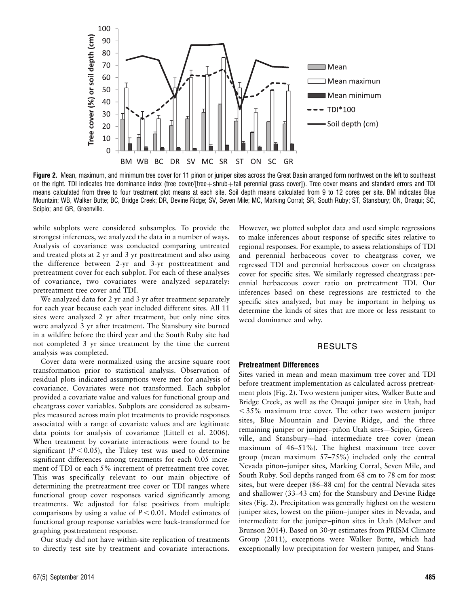

Figure 2. Mean, maximum, and minimum tree cover for 11 piñon or juniper sites across the Great Basin arranged form northwest on the left to southeast on the right. TDI indicates tree dominance index (tree cover/[tree+shrub+tall perennial grass cover]). Tree cover means and standard errors and TDI means calculated from three to four treatment plot means at each site. Soil depth means calculated from 9 to 12 cores per site. BM indicates Blue Mountain; WB, Walker Butte; BC, Bridge Creek; DR, Devine Ridge; SV, Seven Mile; MC, Marking Corral; SR, South Ruby; ST, Stansbury; ON, Onaqui; SC, Scipio; and GR, Greenville.

while subplots were considered subsamples. To provide the strongest inferences, we analyzed the data in a number of ways. Analysis of covariance was conducted comparing untreated and treated plots at 2 yr and 3 yr posttreatment and also using the difference between 2-yr and 3-yr posttreatment and pretreatment cover for each subplot. For each of these analyses of covariance, two covariates were analyzed separately: pretreatment tree cover and TDI.

We analyzed data for 2 yr and 3 yr after treatment separately for each year because each year included different sites. All 11 sites were analyzed 2 yr after treatment, but only nine sites were analyzed 3 yr after treatment. The Stansbury site burned in a wildfire before the third year and the South Ruby site had not completed 3 yr since treatment by the time the current analysis was completed.

Cover data were normalized using the arcsine square root transformation prior to statistical analysis. Observation of residual plots indicated assumptions were met for analysis of covariance. Covariates were not transformed. Each subplot provided a covariate value and values for functional group and cheatgrass cover variables. Subplots are considered as subsamples measured across main plot treatments to provide responses associated with a range of covariate values and are legitimate data points for analysis of covariance (Littell et al. 2006). When treatment by covariate interactions were found to be significant ( $P < 0.05$ ), the Tukey test was used to determine significant differences among treatments for each 0.05 increment of TDI or each 5% increment of pretreatment tree cover. This was specifically relevant to our main objective of determining the pretreatment tree cover or TDI ranges where functional group cover responses varied significantly among treatments. We adjusted for false positives from multiple comparisons by using a value of  $P < 0.01$ . Model estimates of functional group response variables were back-transformed for graphing posttreatment response.

Our study did not have within-site replication of treatments to directly test site by treatment and covariate interactions. to make inferences about response of specific sites relative to regional responses. For example, to assess relationships of TDI and perennial herbaceous cover to cheatgrass cover, we regressed TDI and perennial herbaceous cover on cheatgrass cover for specific sites. We similarly regressed cheatgrass : perennial herbaceous cover ratio on pretreatment TDI. Our inferences based on these regressions are restricted to the specific sites analyzed, but may be important in helping us determine the kinds of sites that are more or less resistant to weed dominance and why.

However, we plotted subplot data and used simple regressions

# RESULTS

#### Pretreatment Differences

Sites varied in mean and mean maximum tree cover and TDI before treatment implementation as calculated across pretreatment plots (Fig. 2). Two western juniper sites, Walker Butte and Bridge Creek, as well as the Onaqui juniper site in Utah, had  $<$  35% maximum tree cover. The other two western juniper sites, Blue Mountain and Devine Ridge, and the three remaining juniper or juniper-piñon Utah sites—Scipio, Greenville, and Stansbury—had intermediate tree cover (mean maximum of 46–51%). The highest maximum tree cover group (mean maximum 57–75%) included only the central Nevada piñon-juniper sites, Marking Corral, Seven Mile, and South Ruby. Soil depths ranged from 68 cm to 78 cm for most sites, but were deeper (86–88 cm) for the central Nevada sites and shallower (33–43 cm) for the Stansbury and Devine Ridge sites (Fig. 2). Precipitation was generally highest on the western juniper sites, lowest on the piñon–juniper sites in Nevada, and intermediate for the juniper–piñon sites in Utah (McIver and Brunson 2014). Based on 30-yr estimates from PRISM Climate Group (2011), exceptions were Walker Butte, which had exceptionally low precipitation for western juniper, and Stans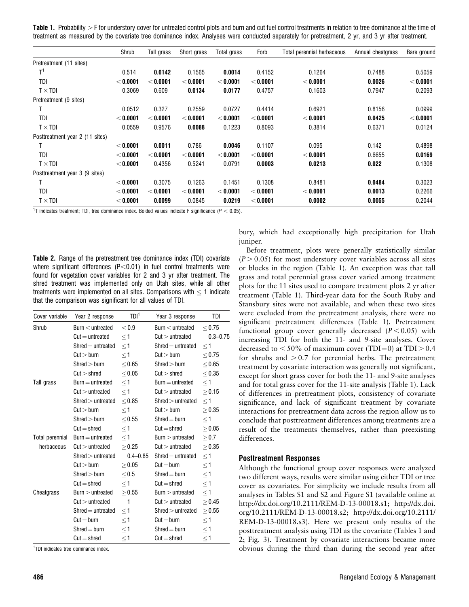Table 1. Probability  $>$  F for understory cover for untreated control plots and burn and cut fuel control treatments in relation to tree dominance at the time of treatment as measured by the covariate tree dominance index. Analyses were conducted separately for pretreatment, 2 yr, and 3 yr after treatment.

|                                 | Shrub      | Tall grass | Short grass | Total grass | Forb       | Total perennial herbaceous | Annual cheatgrass | Bare ground |
|---------------------------------|------------|------------|-------------|-------------|------------|----------------------------|-------------------|-------------|
| Pretreatment (11 sites)         |            |            |             |             |            |                            |                   |             |
| T <sup>1</sup>                  | 0.514      | 0.0142     | 0.1565      | 0.0014      | 0.4152     | 0.1264                     | 0.7488            | 0.5059      |
| TDI                             | $<$ 0.0001 | $<$ 0.0001 | < 0.0001    | < 0.0001    | $<$ 0.0001 | $<$ 0.0001 $\,$            | 0.0026            | < 0.0001    |
| $T \times TDI$                  | 0.3069     | 0.609      | 0.0134      | 0.0177      | 0.4757     | 0.1603                     | 0.7947            | 0.2093      |
| Pretreatment (9 sites)          |            |            |             |             |            |                            |                   |             |
|                                 | 0.0512     | 0.327      | 0.2559      | 0.0727      | 0.4414     | 0.6921                     | 0.8156            | 0.0999      |
| <b>TDI</b>                      | $<$ 0.0001 | $<$ 0.0001 | $<$ 0.0001  | < 0.0001    | < 0.0001   | $<$ 0.0001                 | 0.0425            | < 0.0001    |
| $T \times TDI$                  | 0.0559     | 0.9576     | 0.0088      | 0.1223      | 0.8093     | 0.3814                     | 0.6371            | 0.0124      |
| Posttreatment year 2 (11 sites) |            |            |             |             |            |                            |                   |             |
|                                 | $<$ 0.0001 | 0.0011     | 0.786       | 0.0046      | 0.1107     | 0.095                      | 0.142             | 0.4898      |
| TDI                             | $<$ 0.0001 | $<$ 0.0001 | < 0.0001    | < 0.0001    | < 0.0001   | $<$ 0.0001                 | 0.6655            | 0.0169      |
| $T \times TDI$                  | $<$ 0.0001 | 0.4356     | 0.5241      | 0.0791      | 0.0003     | 0.0213                     | 0.022             | 0.1308      |
| Posttreatment year 3 (9 sites)  |            |            |             |             |            |                            |                   |             |
|                                 | $<$ 0.0001 | 0.3075     | 0.1263      | 0.1451      | 0.1308     | 0.8481                     | 0.0484            | 0.3023      |
| <b>TDI</b>                      | $<$ 0.0001 | $<$ 0.0001 | $<$ 0.0001  | < 0.0001    | < 0.0001   | $<$ 0.0001                 | 0.0013            | 0.2266      |
| $T \times TDI$                  | $<$ 0.0001 | 0.0099     | 0.0845      | 0.0219      | < 0.0001   | 0.0002                     | 0.0055            | 0.2044      |

<sup>1</sup>T indicates treatment; TDI, tree dominance index. Bolded values indicate F significance ( $P < 0.05$ ).

Table 2. Range of the pretreatment tree dominance index (TDI) covariate where significant differences  $(P<0.01)$  in fuel control treatments were found for vegetation cover variables for 2 and 3 yr after treatment. The shred treatment was implemented only on Utah sites, while all other treatments were implemented on all sites. Comparisons with  $\leq 1$  indicate that the comparison was significant for all values of TDI.

| Cover variable         | Year 2 response     | TDI <sup>1</sup> | Year 3 response     | TDI          |
|------------------------|---------------------|------------------|---------------------|--------------|
| Shrub                  | $Burn <$ untreated  | < 0.9            | $Burn <$ untreated  | < 0.75       |
|                        | $Cut =$ untreated   | $<$ 1            | $Cut$ > untreated   | $0.3 - 0.75$ |
|                        | $Shred =$ untreated | $\leq$ 1         | $Shred =$ untreated | $\leq$ 1     |
|                        | $Cut$ $>$ burn      | $<$ 1            | $Cut$ $>$ burn      | < 0.75       |
|                        | Shred > burn        | < 0.65           | Shred > burn        | < 0.65       |
|                        | $Cut$ > shred       | $\leq 0.05$      | $Cut$ $>$ shred     | < 0.35       |
| Tall grass             | $Burn =$ untreated  | $\leq$ 1         | $Burn = untreated$  | $<$ 1        |
|                        | $Cut >$ untreated   | $\leq$ 1         | $Cut >$ untreated   | > 0.15       |
|                        | $Shred >$ untreated | < 0.85           | $Shred >$ untreated | $\leq$ 1     |
|                        | $Cut$ $>$ burn      | $\leq$ 1         | $Cut$ $>$ burn      | > 0.35       |
|                        | Shred > burn        | < 0.55           | $Shred = burn$      | $<$ 1        |
|                        | $Cut =$ shred       | $<$ 1            | $Cut =$ shred       | > 0.05       |
| <b>Total perennial</b> | $Burn =$ untreated  | $<$ 1            | $Burn >$ untreated  | $\geq 0.7$   |
| herbaceous             | $Cut >$ untreated   | > 0.25           | $Cut >$ untreated   | > 0.35       |
|                        | $Shred >$ untreated | $0.4 - 0.85$     | $Shred =$ untreated | $\leq$ 1     |
|                        | $Cut$ $>$ burn      | > 0.05           | $Cut = burn$        | $<$ 1        |
|                        | Shred > burn        | < 0.5            | $Shred = burn$      | $<$ 1        |
|                        | $Cut =$ shred       | $\leq$ 1         | $Cut =$ shred       | $\leq$ 1     |
| Cheatgrass             | $Burn >$ untreated  | > 0.55           | $Burn >$ untreated  | $<$ 1        |
|                        | $Cut$ > untreated   | 1                | $Cut$ > untreated   | $\geq 0.45$  |
|                        | $Shred =$ untreated | $\leq$ 1         | $Shred >$ untreated | > 0.55       |
|                        | $Cut = burn$        | $\leq$ 1         | $Cut = burn$        | $<$ 1        |
|                        | $Shred = burn$      | $<$ 1            | $Shred = burn$      | $<$ 1        |
|                        | $Cut =$ shred       | $\leq$ 1         | $Cut =$ shred       | $\leq$ 1     |

<sup>1</sup>TDI indicates tree dominance index.

bury, which had exceptionally high precipitation for Utah juniper.

Before treatment, plots were generally statistically similar  $(P > 0.05)$  for most understory cover variables across all sites or blocks in the region (Table 1). An exception was that tall grass and total perennial grass cover varied among treatment plots for the 11 sites used to compare treatment plots 2 yr after treatment (Table 1). Third-year data for the South Ruby and Stansbury sites were not available, and when these two sites were excluded from the pretreatment analysis, there were no significant pretreatment differences (Table 1). Pretreatment functional group cover generally decreased  $(P < 0.05)$  with increasing TDI for both the 11- and 9-site analyses. Cover decreased to  $<$  50% of maximum cover (TDI=0) at TDI  $>$  0.4 for shrubs and  $> 0.7$  for perennial herbs. The pretreatment treatment by covariate interaction was generally not significant, except for short grass cover for both the 11- and 9-site analyses and for total grass cover for the 11-site analysis (Table 1). Lack of differences in pretreatment plots, consistency of covariate significance, and lack of significant treatment by covariate interactions for pretreatment data across the region allow us to conclude that posttreatment differences among treatments are a result of the treatments themselves, rather than preexisting differences.

#### Posttreatment Responses

Although the functional group cover responses were analyzed two different ways, results were similar using either TDI or tree cover as covariates. For simplicity we include results from all analyses in Tables S1 and S2 and Figure S1 (available online at http://dx.doi.org/10.2111/REM-D-13-00018.s1; http://dx.doi. org/10.2111/REM-D-13-00018.s2; http://dx.doi.org/10.2111/ REM-D-13-00018.s3). Here we present only results of the posttreatment analysis using TDI as the covariate (Tables 1 and 2; Fig. 3). Treatment by covariate interactions became more obvious during the third than during the second year after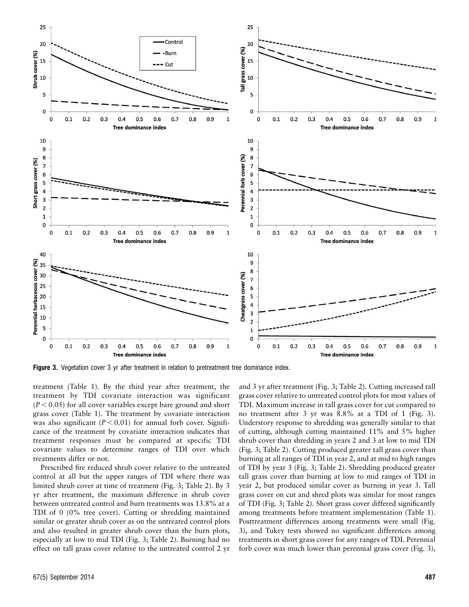

**Figure 3.** Vegetation cover 3 yr after treatment in relation to pretreatment tree dominance index.

treatment (Table 1). By the third year after treatment, the treatment by TDI covariate interaction was significant  $(P < 0.05)$  for all cover variables except bare ground and short grass cover (Table 1). The treatment by covariate interaction was also significant  $(P < 0.01)$  for annual forb cover. Significance of the treatment by covariate interaction indicates that treatment responses must be compared at specific TDI covariate values to determine ranges of TDI over which treatments differ or not.

Prescribed fire reduced shrub cover relative to the untreated control at all but the upper ranges of TDI where there was limited shrub cover at time of treatment (Fig. 3; Table 2). By 3 yr after treatment, the maximum difference in shrub cover between untreated control and burn treatments was 13.8% at a TDI of 0 (0% tree cover). Cutting or shredding maintained similar or greater shrub cover as on the untreated control plots and also resulted in greater shrub cover than the burn plots, especially at low to mid TDI (Fig. 3; Table 2). Burning had no effect on tall grass cover relative to the untreated control 2 yr and 3 yr after treatment (Fig. 3; Table 2). Cutting increased tall grass cover relative to untreated control plots for most values of TDI. Maximum increase in tall grass cover for cut compared to no treatment after 3 yr was 8.8% at a TDI of 1 (Fig. 3). Understory response to shredding was generally similar to that of cutting, although cutting maintained 11% and 5% higher shrub cover than shredding in years 2 and 3 at low to mid TDI (Fig. 3; Table 2). Cutting produced greater tall grass cover than burning at all ranges of TDI in year 2, and at mid to high ranges of TDI by year 3 (Fig. 3; Table 2). Shredding produced greater tall grass cover than burning at low to mid ranges of TDI in year 2, but produced similar cover as burning in year 3. Tall grass cover on cut and shred plots was similar for most ranges of TDI (Fig. 3; Table 2). Short grass cover differed significantly among treatments before treatment implementation (Table 1). Posttreatment differences among treatments were small (Fig. 3), and Tukey tests showed no significant differences among treatments in short grass cover for any ranges of TDI. Perennial forb cover was much lower than perennial grass cover (Fig. 3),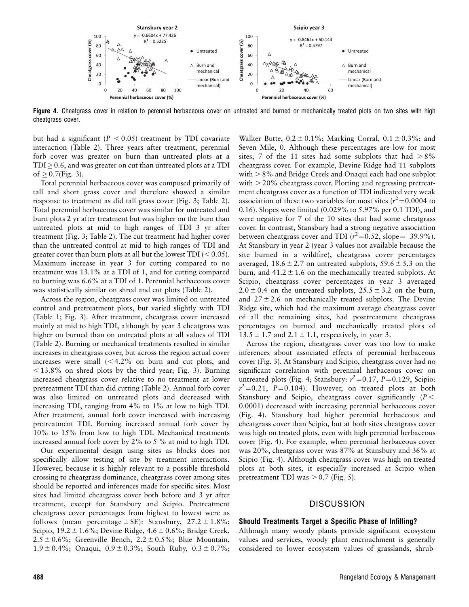

**Figure 4.** Cheatgrass cover in relation to perennial herbaceous cover on untreated and burned or mechanically treated plots on two sites with high cheatgrass cover.

but had a significant ( $P < 0.05$ ) treatment by TDI covariate interaction (Table 2). Three years after treatment, perennial forb cover was greater on burn than untreated plots at a TDI  $\geq$  0.6, and was greater on cut than untreated plots at a TDI of  $\geq$  0.7(Fig. 3).

Total perennial herbaceous cover was composed primarily of tall and short grass cover and therefore showed a similar response to treatment as did tall grass cover (Fig. 3; Table 2). Total perennial herbaceous cover was similar for untreated and burn plots 2 yr after treatment but was higher on the burn than untreated plots at mid to high ranges of TDI 3 yr after treatment (Fig. 3; Table 2). The cut treatment had higher cover than the untreated control at mid to high ranges of TDI and greater cover than burn plots at all but the lowest TDI  $(< 0.05)$ . Maximum increase in year 3 for cutting compared to no treatment was 13.1% at a TDI of 1, and for cutting compared to burning was 6.6% at a TDI of 1. Perennial herbaceous cover was statistically similar on shred and cut plots (Table 2).

Across the region, cheatgrass cover was limited on untreated control and pretreatment plots, but varied slightly with TDI (Table 1; Fig. 3). After treatment, cheatgrass cover increased mainly at mid to high TDI, although by year 3 cheatgrass was higher on burned than on untreated plots at all values of TDI (Table 2). Burning or mechanical treatments resulted in similar increases in cheatgrass cover, but across the region actual cover increases were small  $\ll 4.2\%$  on burn and cut plots, and  $<$  13.8% on shred plots by the third year; Fig. 3). Burning increased cheatgrass cover relative to no treatment at lower pretreatment TDI than did cutting (Table 2). Annual forb cover was also limited on untreated plots and decreased with increasing TDI, ranging from 4% to 1% at low to high TDI. After treatment, annual forb cover increased with increasing pretreatment TDI. Burning increased annual forb cover by 10% to 15% from low to high TDI. Mechanical treatments increased annual forb cover by 2% to 5 % at mid to high TDI.

Our experimental design using sites as blocks does not specifically allow testing of site by treatment interactions. However, because it is highly relevant to a possible threshold crossing to cheatgrass dominance, cheatgrass cover among sites should be reported and inferences made for specific sites. Most sites had limited cheatgrass cover both before and 3 yr after treatment, except for Stansbury and Scipio. Pretreatment cheatgrass cover percentages from highest to lowest were as follows (mean percentage  $\pm$  SE): Stansbury, 27.2  $\pm$  1.8%; Scipio,  $19.2 \pm 1.6\%$ ; Devine Ridge,  $4.6 \pm 0.6\%$ ; Bridge Creek,  $2.5 \pm 0.6\%$ ; Greenville Bench,  $2.2 \pm 0.5\%$ ; Blue Mountain,  $1.9 \pm 0.4\%$ ; Onaqui,  $0.9 \pm 0.3\%$ ; South Ruby,  $0.3 \pm 0.7\%$ ;

Walker Butte,  $0.2 \pm 0.1\%$ ; Marking Corral,  $0.1 \pm 0.3\%$ ; and Seven Mile, 0. Although these percentages are low for most sites, 7 of the 11 sites had some subplots that had  $>8\%$ cheatgrass cover. For example, Devine Ridge had 11 subplots with  $> 8\%$  and Bridge Creek and Onaqui each had one subplot with  $>$  20% cheatgrass cover. Plotting and regressing pretreatment cheatgrass cover as a function of TDI indicated very weak association of these two variables for most sites ( $r^2$  = 0.0004 to 0.16). Slopes were limited (0.029% to 5.97% per 0.1 TDI), and were negative for 7 of the 10 sites that had some cheatgrass cover. In contrast, Stansbury had a strong negative association between cheatgrass cover and TDI  $(r^2=0.52,$  slope=-39.9%). At Stansbury in year 2 (year 3 values not available because the site burned in a wildfire), cheatgrass cover percentages averaged,  $18.6 \pm 2.7$  on untreated subplots,  $59.6 \pm 5.3$  on the burn, and  $41.2 \pm 1.6$  on the mechanically treated subplots. At Scipio, cheatgrass cover percentages in year 3 averaged  $2.0 \pm 0.4$  on the untreated subplots,  $25.5 \pm 3.2$  on the burn, and  $27 \pm 2.6$  on mechanically treated subplots. The Devine Ridge site, which had the maximum average cheatgrass cover of all the remaining sites, had posttreatment cheatgrass percentages on burned and mechanically treated plots of  $13.5 \pm 1.7$  and  $2.1 \pm 1.1$ , respectively, in year 3.

Across the region, cheatgrass cover was too low to make inferences about associated effects of perennial herbaceous cover (Fig. 3). At Stansbury and Scipio, cheatgrass cover had no significant correlation with perennial herbaceous cover on untreated plots (Fig. 4; Stansbury:  $r^2 = 0.17$ ,  $P = 0.129$ , Scipio:  $r^2$ =0.21, P=0.104). However, on treated plots at both Stansbury and Scipio, cheatgrass cover significantly  $(P <$ 0.0001) decreased with increasing perennial herbaceous cover (Fig. 4). Stansbury had higher perennial herbaceous and cheatgrass cover than Scipio, but at both sites cheatgrass cover was high on treated plots, even with high perennial herbaceous cover (Fig. 4). For example, when perennial herbaceous cover was 20%, cheatgrass cover was 87% at Stansbury and 36% at Scipio (Fig. 4). Although cheatgrass cover was high on treated plots at both sites, it especially increased at Scipio when pretreatment TDI was  $> 0.7$  (Fig. 5).

#### **DISCUSSION**

#### Should Treatments Target a Specific Phase of Infilling?

Although many woody plants provide significant ecosystem values and services, woody plant encroachment is generally considered to lower ecosystem values of grasslands, shrub-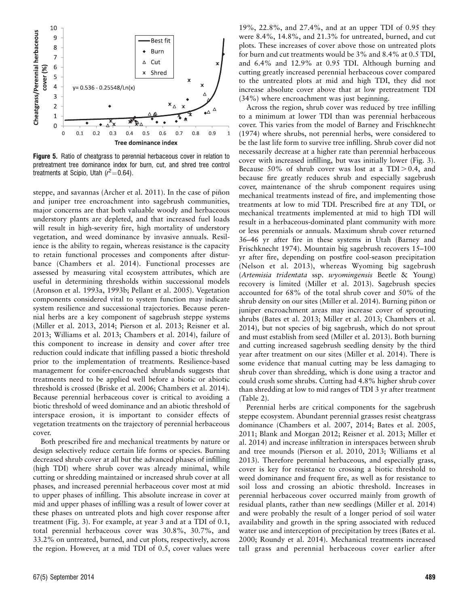

Figure 5. Ratio of cheatgrass to perennial herbaceous cover in relation to pretreatment tree dominance index for burn, cut, and shred tree control treatments at Scipio, Utah ( $r^2$  = 0.64).

steppe, and savannas (Archer et al. 2011). In the case of piñon and juniper tree encroachment into sagebrush communities, major concerns are that both valuable woody and herbaceous understory plants are depleted, and that increased fuel loads will result in high-severity fire, high mortality of understory vegetation, and weed dominance by invasive annuals. Resilience is the ability to regain, whereas resistance is the capacity to retain functional processes and components after disturbance (Chambers et al. 2014). Functional processes are assessed by measuring vital ecosystem attributes, which are useful in determining thresholds within successional models (Aronson et al. 1993a, 1993b; Pellant et al. 2005). Vegetation components considered vital to system function may indicate system resilience and successional trajectories. Because perennial herbs are a key component of sagebrush steppe systems (Miller et al. 2013, 2014; Pierson et al. 2013; Reisner et al. 2013; Williams et al. 2013; Chambers et al. 2014), failure of this component to increase in density and cover after tree reduction could indicate that infilling passed a biotic threshold prior to the implementation of treatments. Resilience-based management for conifer-encroached shrublands suggests that treatments need to be applied well before a biotic or abiotic threshold is crossed (Briske et al. 2006; Chambers et al. 2014). Because perennial herbaceous cover is critical to avoiding a biotic threshold of weed dominance and an abiotic threshold of interspace erosion, it is important to consider effects of vegetation treatments on the trajectory of perennial herbaceous cover.

Both prescribed fire and mechanical treatments by nature or design selectively reduce certain life forms or species. Burning decreased shrub cover at all but the advanced phases of infilling (high TDI) where shrub cover was already minimal, while cutting or shredding maintained or increased shrub cover at all phases, and increased perennial herbaceous cover most at mid to upper phases of infilling. This absolute increase in cover at mid and upper phases of infilling was a result of lower cover at these phases on untreated plots and high cover response after treatment (Fig. 3). For example, at year 3 and at a TDI of 0.1, total perennial herbaceous cover was 30.8%, 30.7%, and 33.2% on untreated, burned, and cut plots, respectively, across the region. However, at a mid TDI of 0.5, cover values were

19%, 22.8%, and 27.4%, and at an upper TDI of 0.95 they were 8.4%, 14.8%, and 21.3% for untreated, burned, and cut plots. These increases of cover above those on untreated plots for burn and cut treatments would be 3% and 8.4% at 0.5 TDI, and 6.4% and 12.9% at 0.95 TDI. Although burning and cutting greatly increased perennial herbaceous cover compared to the untreated plots at mid and high TDI, they did not increase absolute cover above that at low pretreatment TDI (34%) where encroachment was just beginning.

Across the region, shrub cover was reduced by tree infilling to a minimum at lower TDI than was perennial herbaceous cover. This varies from the model of Barney and Frischknecht (1974) where shrubs, not perennial herbs, were considered to be the last life form to survive tree infilling. Shrub cover did not necessarily decrease at a higher rate than perennial herbaceous cover with increased infilling, but was initially lower (Fig. 3). Because 50% of shrub cover was lost at a TDI  $> 0.4$ , and because fire greatly reduces shrub and especially sagebrush cover, maintenance of the shrub component requires using mechanical treatments instead of fire, and implementing those treatments at low to mid TDI. Prescribed fire at any TDI, or mechanical treatments implemented at mid to high TDI will result in a herbaceous-dominated plant community with more or less perennials or annuals. Maximum shrub cover returned 36–46 yr after fire in these systems in Utah (Barney and Frischknecht 1974). Mountain big sagebrush recovers 15–100 yr after fire, depending on postfire cool-season precipitation (Nelson et al. 2013), whereas Wyoming big sagebrush (Artemisia tridentata ssp. wyomingensis Beetle & Young) recovery is limited (Miller et al. 2013). Sagebrush species accounted for 68% of the total shrub cover and 50% of the shrub density on our sites (Miller et al. 2014). Burning piñon or juniper encroachment areas may increase cover of sprouting shrubs (Bates et al. 2013; Miller et al. 2013; Chambers et al. 2014), but not species of big sagebrush, which do not sprout and must establish from seed (Miller et al. 2013). Both burning and cutting increased sagebrush seedling density by the third year after treatment on our sites (Miller et al. 2014). There is some evidence that manual cutting may be less damaging to shrub cover than shredding, which is done using a tractor and could crush some shrubs. Cutting had 4.8% higher shrub cover than shredding at low to mid ranges of TDI 3 yr after treatment (Table 2).

Perennial herbs are critical components for the sagebrush steppe ecosystem. Abundant perennial grasses resist cheatgrass dominance (Chambers et al. 2007, 2014; Bates et al. 2005, 2011; Blank and Morgan 2012; Reisner et al. 2013; Miller et al. 2014) and increase infiltration in interspaces between shrub and tree mounds (Pierson et al. 2010, 2013; Williams et al 2013). Therefore perennial herbaceous, and especially grass, cover is key for resistance to crossing a biotic threshold to weed dominance and frequent fire, as well as for resistance to soil loss and crossing an abiotic threshold. Increases in perennial herbaceous cover occurred mainly from growth of residual plants, rather than new seedlings (Miller et al. 2014) and were probably the result of a longer period of soil water availability and growth in the spring associated with reduced water use and interception of precipitation by trees (Bates et al. 2000; Roundy et al. 2014). Mechanical treatments increased tall grass and perennial herbaceous cover earlier after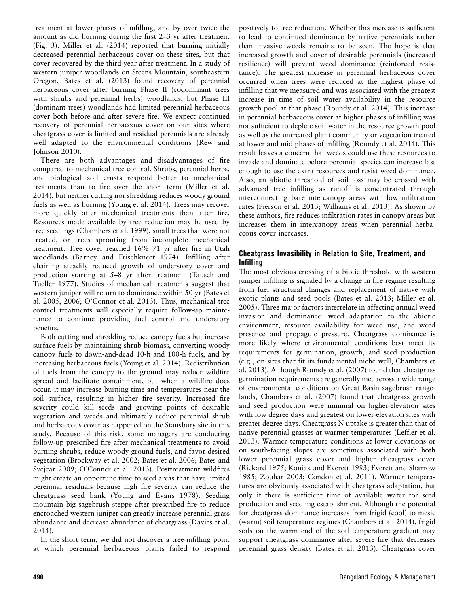treatment at lower phases of infilling, and by over twice the amount as did burning during the first 2–3 yr after treatment (Fig. 3). Miller et al. (2014) reported that burning initially decreased perennial herbaceous cover on these sites, but that cover recovered by the third year after treatment. In a study of western juniper woodlands on Steens Mountain, southeastern Oregon, Bates et al. (2013) found recovery of perennial herbaceous cover after burning Phase II (codominant trees with shrubs and perennial herbs) woodlands, but Phase III (dominant trees) woodlands had limited perennial herbaceous cover both before and after severe fire. We expect continued recovery of perennial herbaceous cover on our sites where cheatgrass cover is limited and residual perennials are already well adapted to the environmental conditions (Rew and Johnson 2010).

There are both advantages and disadvantages of fire compared to mechanical tree control. Shrubs, perennial herbs, and biological soil crusts respond better to mechanical treatments than to fire over the short term (Miller et al. 2014), but neither cutting nor shredding reduces woody ground fuels as well as burning (Young et al. 2014). Trees may recover more quickly after mechanical treatments than after fire. Resources made available by tree reduction may be used by tree seedlings (Chambers et al. 1999), small trees that were not treated, or trees sprouting from incomplete mechanical treatment. Tree cover reached 16% 71 yr after fire in Utah woodlands (Barney and Frischknect 1974). Infilling after chaining steadily reduced growth of understory cover and production starting at 5–8 yr after treatment (Tausch and Tueller 1977). Studies of mechanical treatments suggest that western juniper will return to dominance within 50 yr (Bates et al. 2005, 2006; O'Connor et al. 2013). Thus, mechanical tree control treatments will especially require follow-up maintenance to continue providing fuel control and understory benefits.

Both cutting and shredding reduce canopy fuels but increase surface fuels by maintaining shrub biomass, converting woody canopy fuels to down-and-dead 10-h and 100-h fuels, and by increasing herbaceous fuels (Young et al. 2014). Redistribution of fuels from the canopy to the ground may reduce wildfire spread and facilitate containment, but when a wildfire does occur, it may increase burning time and temperatures near the soil surface, resulting in higher fire severity. Increased fire severity could kill seeds and growing points of desirable vegetation and weeds and ultimately reduce perennial shrub and herbaceous cover as happened on the Stansbury site in this study. Because of this risk, some managers are conducting follow-up prescribed fire after mechanical treatments to avoid burning shrubs, reduce woody ground fuels, and favor desired vegetation (Brockway et al. 2002; Bates et al. 2006; Bates and Svejcar 2009; O'Conner et al. 2013). Posttreatment wildfires might create an opportune time to seed areas that have limited perennial residuals because high fire severity can reduce the cheatgrass seed bank (Young and Evans 1978). Seeding mountain big sagebrush steppe after prescribed fire to reduce encroached western juniper can greatly increase perennial grass abundance and decrease abundance of cheatgrass (Davies et al. 2014).

In the short term, we did not discover a tree-infilling point at which perennial herbaceous plants failed to respond

positively to tree reduction. Whether this increase is sufficient to lead to continued dominance by native perennials rather than invasive weeds remains to be seen. The hope is that increased growth and cover of desirable perennials (increased resilience) will prevent weed dominance (reinforced resistance). The greatest increase in perennial herbaceous cover occurred when trees were reduced at the highest phase of infilling that we measured and was associated with the greatest increase in time of soil water availability in the resource growth pool at that phase (Roundy et al. 2014). This increase in perennial herbaceous cover at higher phases of infilling was not sufficient to deplete soil water in the resource growth pool as well as the untreated plant community or vegetation treated at lower and mid phases of infilling (Roundy et al. 2014). This result leaves a concern that weeds could use these resources to invade and dominate before perennial species can increase fast enough to use the extra resources and resist weed dominance. Also, an abiotic threshold of soil loss may be crossed with advanced tree infilling as runoff is concentrated through interconnecting bare intercanopy areas with low infiltration rates (Pierson et al. 2013; Williams et al. 2013). As shown by these authors, fire reduces infiltration rates in canopy areas but increases them in intercanopy areas when perennial herbaceous cover increases.

# Cheatgrass Invasibility in Relation to Site, Treatment, and Infilling

The most obvious crossing of a biotic threshold with western juniper infilling is signaled by a change in fire regime resulting from fuel structural changes and replacement of native with exotic plants and seed pools (Bates et al. 2013; Miller et al. 2005). Three major factors interrelate in affecting annual weed invasion and dominance: weed adaptation to the abiotic environment, resource availability for weed use, and weed presence and propagule pressure. Cheatgrass dominance is more likely where environmental conditions best meet its requirements for germination, growth, and seed production (e.g., on sites that fit its fundamental niche well; Chambers et al. 2013). Although Roundy et al. (2007) found that cheatgrass germination requirements are generally met across a wide range of environmental conditions on Great Basin sagebrush rangelands, Chambers et al. (2007) found that cheatgrass growth and seed production were minimal on higher-elevation sites with low degree days and greatest on lower-elevation sites with greater degree days. Cheatgrass N uptake is greater than that of native perennial grasses at warmer temperatures (Leffler et al. 2013). Warmer temperature conditions at lower elevations or on south-facing slopes are sometimes associated with both lower perennial grass cover and higher cheatgrass cover (Rickard 1975; Koniak and Everett 1983; Everett and Sharrow 1985; Zouhar 2003; Condon et al. 2011). Warmer temperatures are obviously associated with cheatgrass adaptation, but only if there is sufficient time of available water for seed production and seedling establishment. Although the potential for cheatgrass dominance increases from frigid (cool) to mesic (warm) soil temperature regimes (Chambers et al. 2014), frigid soils on the warm end of the soil temperature gradient may support cheatgrass dominance after severe fire that decreases perennial grass density (Bates et al. 2013). Cheatgrass cover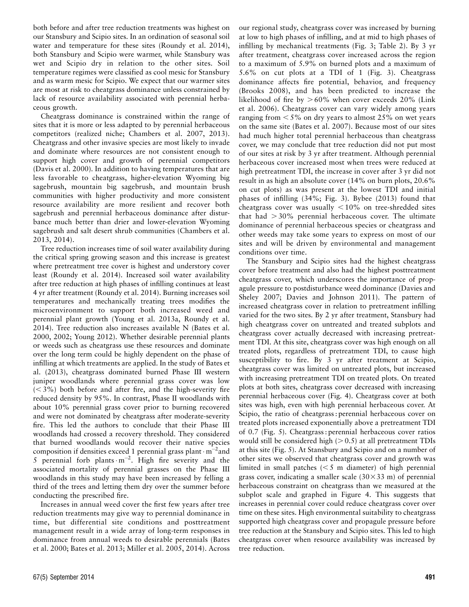both before and after tree reduction treatments was highest on our Stansbury and Scipio sites. In an ordination of seasonal soil water and temperature for these sites (Roundy et al. 2014), both Stansbury and Scipio were warmer, while Stansbury was wet and Scipio dry in relation to the other sites. Soil temperature regimes were classified as cool mesic for Stansbury and as warm mesic for Scipio. We expect that our warmer sites are most at risk to cheatgrass dominance unless constrained by lack of resource availability associated with perennial herbaceous growth.

Cheatgrass dominance is constrained within the range of sites that it is more or less adapted to by perennial herbaceous competitors (realized niche; Chambers et al. 2007, 2013). Cheatgrass and other invasive species are most likely to invade and dominate where resources are not consistent enough to support high cover and growth of perennial competitors (Davis et al. 2000). In addition to having temperatures that are less favorable to cheatgrass, higher-elevation Wyoming big sagebrush, mountain big sagebrush, and mountain brush communities with higher productivity and more consistent resource availability are more resilient and recover both sagebrush and perennial herbaceous dominance after disturbance much better than drier and lower-elevation Wyoming sagebrush and salt desert shrub communities (Chambers et al. 2013, 2014).

Tree reduction increases time of soil water availability during the critical spring growing season and this increase is greatest where pretreatment tree cover is highest and understory cover least (Roundy et al. 2014). Increased soil water availability after tree reduction at high phases of infilling continues at least 4 yr after treatment (Roundy et al. 2014). Burning increases soil temperatures and mechanically treating trees modifies the microenvironment to support both increased weed and perennial plant growth (Young et al. 2013a, Roundy et al. 2014). Tree reduction also increases available N (Bates et al. 2000, 2002; Young 2012). Whether desirable perennial plants or weeds such as cheatgrass use these resources and dominate over the long term could be highly dependent on the phase of infilling at which treatments are applied. In the study of Bates et al. (2013), cheatgrass dominated burned Phase III western juniper woodlands where perennial grass cover was low  $(< 3\%)$  both before and after fire, and the high-severity fire reduced density by 95%. In contrast, Phase II woodlands with about 10% perennial grass cover prior to burning recovered and were not dominated by cheatgrass after moderate-severity fire. This led the authors to conclude that their Phase III woodlands had crossed a recovery threshold. They considered that burned woodlands would recover their native species composition if densities exceed 1 perennial grass plant  $\cdot$  m<sup>-2</sup> and 5 perennial forb plants  $m^{-2}$ . High fire severity and the associated mortality of perennial grasses on the Phase III woodlands in this study may have been increased by felling a third of the trees and letting them dry over the summer before conducting the prescribed fire.

Increases in annual weed cover the first few years after tree reduction treatments may give way to perennial dominance in time, but differential site conditions and posttreatment management result in a wide array of long-term responses in dominance from annual weeds to desirable perennials (Bates et al. 2000; Bates et al. 2013; Miller et al. 2005, 2014). Across

our regional study, cheatgrass cover was increased by burning at low to high phases of infilling, and at mid to high phases of infilling by mechanical treatments (Fig. 3; Table 2). By 3 yr after treatment, cheatgrass cover increased across the region to a maximum of 5.9% on burned plots and a maximum of 5.6% on cut plots at a TDI of 1 (Fig. 3). Cheatgrass dominance affects fire potential, behavior, and frequency (Brooks 2008), and has been predicted to increase the likelihood of fire by  $> 60\%$  when cover exceeds 20% (Link et al. 2006). Cheatgrass cover can vary widely among years ranging from  $\lt 5\%$  on dry years to almost 25% on wet years on the same site (Bates et al. 2007). Because most of our sites had much higher total perennial herbaceous than cheatgrass cover, we may conclude that tree reduction did not put most of our sites at risk by 3 yr after treatment. Although perennial herbaceous cover increased most when trees were reduced at high pretreatment TDI, the increase in cover after 3 yr did not result in as high an absolute cover (14% on burn plots, 20.6% on cut plots) as was present at the lowest TDI and initial phases of infilling (34%; Fig. 3). Bybee (2013) found that cheatgrass cover was usually  $\langle 10\% \rangle$  on tree-shredded sites that had  $>30\%$  perennial herbaceous cover. The ultimate dominance of perennial herbaceous species or cheatgrass and other weeds may take some years to express on most of our sites and will be driven by environmental and management conditions over time.

The Stansbury and Scipio sites had the highest cheatgrass cover before treatment and also had the highest posttreatment cheatgrass cover, which underscores the importance of propagule pressure to postdisturbance weed dominance (Davies and Sheley 2007; Davies and Johnson 2011). The pattern of increased cheatgrass cover in relation to pretreatment infilling varied for the two sites. By 2 yr after treatment, Stansbury had high cheatgrass cover on untreated and treated subplots and cheatgrass cover actually decreased with increasing pretreatment TDI. At this site, cheatgrass cover was high enough on all treated plots, regardless of pretreatment TDI, to cause high susceptibility to fire. By 3 yr after treatment at Scipio, cheatgrass cover was limited on untreated plots, but increased with increasing pretreatment TDI on treated plots. On treated plots at both sites, cheatgrass cover decreased with increasing perennial herbaceous cover (Fig. 4). Cheatgrass cover at both sites was high, even with high perennial herbaceous cover. At Scipio, the ratio of cheatgrass : perennial herbaceous cover on treated plots increased exponentially above a pretreatment TDI of 0.7 (Fig. 5). Cheatgrass : perennial herbaceous cover ratios would still be considered high  $(> 0.5)$  at all pretreatment TDIs at this site (Fig. 5). At Stansbury and Scipio and on a number of other sites we observed that cheatgrass cover and growth was limited in small patches  $\langle \leq 5 \rangle$  m diameter) of high perennial grass cover, indicating a smaller scale  $(30\times33 \text{ m})$  of perennial herbaceous constraint on cheatgrass than we measured at the subplot scale and graphed in Figure 4. This suggests that increases in perennial cover could reduce cheatgrass cover over time on these sites. High environmental suitability to cheatgrass supported high cheatgrass cover and propagule pressure before tree reduction at the Stansbury and Scipio sites. This led to high cheatgrass cover when resource availability was increased by tree reduction.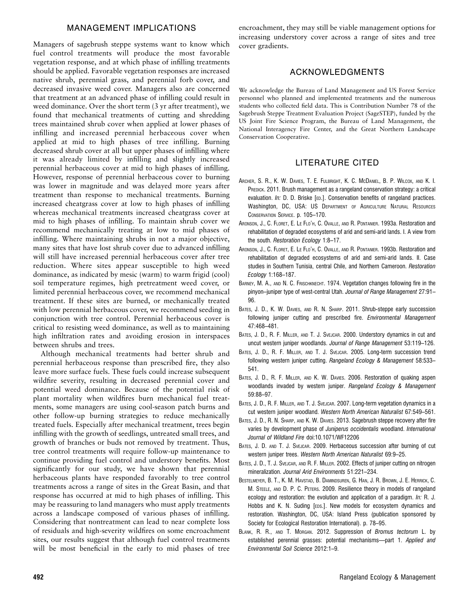## MANAGEMENT IMPLICATIONS

Managers of sagebrush steppe systems want to know which fuel control treatments will produce the most favorable vegetation response, and at which phase of infilling treatments should be applied. Favorable vegetation responses are increased native shrub, perennial grass, and perennial forb cover, and decreased invasive weed cover. Managers also are concerned that treatment at an advanced phase of infilling could result in weed dominance. Over the short term (3 yr after treatment), we found that mechanical treatments of cutting and shredding trees maintained shrub cover when applied at lower phases of infilling and increased perennial herbaceous cover when applied at mid to high phases of tree infilling. Burning decreased shrub cover at all but upper phases of infilling where it was already limited by infilling and slightly increased perennial herbaceous cover at mid to high phases of infilling. However, response of perennial herbaceous cover to burning was lower in magnitude and was delayed more years after treatment than response to mechanical treatments. Burning increased cheatgrass cover at low to high phases of infilling whereas mechanical treatments increased cheatgrass cover at mid to high phases of infilling. To maintain shrub cover we recommend mechanically treating at low to mid phases of infilling. Where maintaining shrubs in not a major objective, many sites that have lost shrub cover due to advanced infilling will still have increased perennial herbaceous cover after tree reduction. Where sites appear susceptible to high weed dominance, as indicated by mesic (warm) to warm frigid (cool) soil temperature regimes, high pretreatment weed cover, or limited perennial herbaceous cover, we recommend mechanical treatment. If these sites are burned, or mechanically treated with low perennial herbaceous cover, we recommend seeding in conjunction with tree control. Perennial herbaceous cover is critical to resisting weed dominance, as well as to maintaining high infiltration rates and avoiding erosion in interspaces between shrubs and trees.

Although mechanical treatments had better shrub and perennial herbaceous response than prescribed fire, they also leave more surface fuels. These fuels could increase subsequent wildfire severity, resulting in decreased perennial cover and potential weed dominance. Because of the potential risk of plant mortality when wildfires burn mechanical fuel treatments, some managers are using cool-season patch burns and other follow-up burning strategies to reduce mechanically treated fuels. Especially after mechanical treatment, trees begin infilling with the growth of seedlings, untreated small trees, and growth of branches or buds not removed by treatment. Thus, tree control treatments will require follow-up maintenance to continue providing fuel control and understory benefits. Most significantly for our study, we have shown that perennial herbaceous plants have responded favorably to tree control treatments across a range of sites in the Great Basin, and that response has occurred at mid to high phases of infilling. This may be reassuring to land managers who must apply treatments across a landscape composed of various phases of infilling. Considering that nontreatment can lead to near complete loss of residuals and high-severity wildfires on some encroachment sites, our results suggest that although fuel control treatments will be most beneficial in the early to mid phases of tree

encroachment, they may still be viable management options for increasing understory cover across a range of sites and tree cover gradients.

## ACKNOWLEDGMENTS

We acknowledge the Bureau of Land Management and US Forest Service personnel who planned and implemented treatments and the numerous students who collected field data. This is Contribution Number 78 of the Sagebrush Steppe Treatment Evaluation Project (SageSTEP), funded by the US Joint Fire Science Program, the Bureau of Land Management, the National Interagency Fire Center, and the Great Northern Landscape Conservation Cooperative.

# LITERATURE CITED

- ARCHER, S. R., K. W. DAVIES, T. E. FULBRIGHT, K. C. MCDANIEL, B. P. WILCOX, AND K. I. PREDICK. 2011. Brush management as a rangeland conservation strategy: a critical evaluation. In: D. D. Briske [ED.]. Conservation benefits of rangeland practices. Washington, DC, USA: US DEPARTMENT OF AGRICULTURE NATURAL RESOURCES CONSERVATION SERVICE. p. 105–170.
- ARONSON, J., C. FLORET, E. LE FLO'H, C. OVALLE, AND R. PONTANIER. 1993a. Restoration and rehabilitation of degraded ecosystems of arid and semi-arid lands. I. A view from the south. Restoration Ecology 1:8-17.
- ARONSON, J., C. FLORET, E. LE FLO'H, C. OVALLE, AND R. PONTANIER. 1993b. Restoration and rehabilitation of degraded ecosystems of arid and semi-arid lands. II. Case studies in Southern Tunisia, central Chile, and Northern Cameroon. Restoration Ecology 1:168–187.
- BARNEY, M. A., AND N. C. FRISCHKNECHT. 1974. Vegetation changes following fire in the pinyon–juniper type of west-central Utah. Journal of Range Management 27:91-96.
- BATES, J. D., K. W. DAVIES, AND R. N. SHARP. 2011. Shrub-steppe early succession following juniper cutting and prescribed fire. Environmental Management 47:468–481.
- BATES, J. D., R. F. MILLER, AND T. J. SVEJCAR. 2000. Understory dynamics in cut and uncut western juniper woodlands. Journal of Range Management 53:119–126.
- BATES, J. D., R. F. MILLER, AND T. J. SVEJCAR. 2005. Long-term succession trend following western juniper cutting. Rangeland Ecology & Management 58:533– 541.
- BATES, J. D., R. F. MILLER, AND K. W. DAVIES. 2006. Restoration of quaking aspen woodlands invaded by western juniper. Rangeland Ecology & Management 59:88–97.
- BATES, J. D., R. F. MILLER, AND T. J. SVEJCAR. 2007. Long-term vegetation dynamics in a cut western juniper woodland. Western North American Naturalist 67:549–561.
- BATES, J. D., R. N. SHARP, AND K. W. DAVIES. 2013. Sagebrush steppe recovery after fire varies by development phase of Juniperus occidentalis woodland. International Journal of Wildland Fire doi:10.1071/WF12206
- BATES, J. D. AND T. J. SVEJCAR. 2009. Herbaceous succession after burning of cut western juniper trees. Western North American Naturalist 69:9–25.
- BATES, J. D., T. J. SVEJCAR, AND R. F. MILLER. 2002. Effects of juniper cutting on nitrogen mineralization. Journal Arid Environments 51:221–234.
- BESTELMEYER, B. T., K. M. HAVSTAD, B. DAMINDSUREN, G. HAN, J. R. BROWN, J. E. HERRICK, C. M. STEELE, AND D. P. C. PETERS. 2009. Resilience theory in models of rangeland ecology and restoration: the evolution and application of a paradigm. In: R. J. Hobbs and K. N. Suding [EDS.]. New models for ecosystem dynamics and restoration. Washington, DC, USA: Island Press (publication sponsored by Society for Ecological Restoration International). p. 78–95.
- BLANK, R. R., AND T. MORGAN. 2012. Suppression of Bromus tectorum L. by established perennial grasses: potential mechanisms-part 1. Applied and Environmental Soil Science 2012:1–9.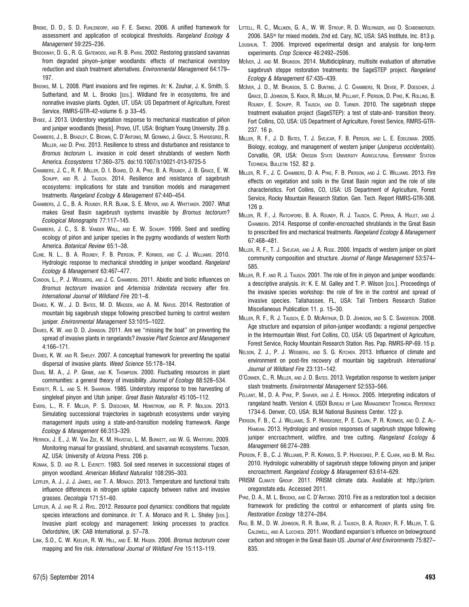- BRISKE, D. D., S. D. FUHLENDORF, AND F. E. SMEINS. 2006. A unified framework for assessment and application of ecological thresholds. Rangeland Ecology & Management 59:225–236.
- BROCKWAY, D. G., R. G. GATEWOOD, AND R. B. PARIS. 2002. Restoring grassland savannas from degraded pinyon–juniper woodlands: effects of mechanical overstory reduction and slash treatment alternatives. Environmental Management 64:179– 197.
- BROOKS, M. L. 2008. Plant invasions and fire regimes. In: K. Zouhar, J. K. Smith, S. Sutherland, and M. L. Brooks [EDS.]. Wildland fire in ecosystems, fire and nonnative invasive plants. Ogden, UT, USA: US Department of Agriculture, Forest Service, RMRS-GTR-42-volume 6. p 33–45.
- BYBEE, J. 2013. Understory vegetation response to mechanical mastication of piñon and juniper woodlands [thesis]. Provo, UT, USA: Brigham Young University. 28 p.
- CHAMBERS, J., B. BRADLEY, C. BROWN, C. D'ANTONIO, M. GERMINO, J. GRACE, S. HARDEGREE, R. MILLER, AND D. PYKE. 2013. Resilience to stress and disturbance and resistance to Bromus tectorum L. invasion in cold desert shrublands of western North America. Ecosystems 17:360–375. doi:10.1007/s10021-013-9725-5
- CHAMBERS, J. C., R. F. MILLER, D. I. BOARD, D. A. PYKE, B. A. ROUNDY, J. B. GRACE, E. W. SCHUPP, AND R. J. TAUSCH. 2014. Resilience and resistance of sagebrush ecosystems: implications for state and transition models and management treatments. Rangeland Ecology & Management 67:440–454.
- CHAMBERS, J. C., B. A. ROUNDY, R.R. BLANK, S. E. MEYER, AND A. WHITTAKER. 2007. What makes Great Basin sagebrush systems invasible by *Bromus tectorum*? Ecological Monographs 77:117–145.
- CHAMBERS, J. C., S. B. VANDER WALL, AND E. W. SCHUPP. 1999. Seed and seedling ecology of piñon and juniper species in the pygmy woodlands of western North America. Botanical Review 65:1–38.
- CLINE, N. L., B. A. ROUNDY, F. B. PIERSON, P. KORMOS, AND C. J. WILLIAMS. 2010. Hydrologic response to mechanical shredding in juniper woodland. Rangeland Ecology & Management 63:467–477.
- CONDON, L., P. J. WEISBERG, AND J. C. CHAMBERS. 2011. Abiotic and biotic influences on Bromus tectorum invasion and Artemisia tridentata recovery after fire. International Journal of Wildland Fire 20:1–8.
- DAVIES, K. W., J. D. BATES, M. D. MADSEN, AND A. M. NAFUS. 2014. Restoration of mountain big sagebrush steppe following prescribed burning to control western juniper. Environmental Management 53:1015–1022.
- DAVIES, K. W. AND D. D. JOHNSON. 2011. Are we ''missing the boat'' on preventing the spread of invasive plants in rangelands? Invasive Plant Science and Management 4:166–171.
- DAVIES, K. W. AND R. SHELEY. 2007. A conceptual framework for preventing the spatial dispersal of invasive plants. Weed Science 55:178–184.
- DAVIS, M. A., J. P. GRIME, AND K. THOMPSON. 2000. Fluctuating resources in plant communities: a general theory of invasibility. Journal of Ecology 88:528–534.
- EVERETT, R. L. AND S. H. SHARROW. 1985. Understory response to tree harvesting of singleleaf pinyon and Utah juniper. Great Basin Naturalist 45:105–112.
- EVERS, L., R. F. MILLER, P. S. DOESCHER, M. HEMSTROM, AND R. P. NEILSON. 2013. Simulating successional trajectories in sagebrush ecosystems under varying management inputs using a state-and-transition modeling framework. Range Ecology & Management 66:313–329.
- HERRICK, J. E., J. W. VAN ZEE, K. M. HAVSTAD, L. M. BURKETT, AND W. G. WHITFORD. 2009. Monitoring manual for grassland, shrubland, and savannah ecosystems. Tucson, AZ, USA: University of Arizona Press. 206 p.
- KONIAK, S. D. AND R. L. EVERETT. 1983. Soil seed reserves in successional stages of pinyon woodland. American Midland Naturalist 108:295–303.
- LEFFLER, A. J., J. J. JAMES, AND T. A. MONACO. 2013. Temperature and functional traits influence differences in nitrogen uptake capacity between native and invasive grasses. Oecologia 171:51–60.
- LEFFLER, A. J. AND R. J. RYEL. 2012. Resource pool dynamics: conditions that regulate species interactions and dominance. In: T. A. Monaco and R. L. Sheley [EDS.]. Invasive plant ecology and management: linking processes to practice. Oxfordshire, UK: CAB International. p. 57–78.
- LINK, S.O., C. W. KEELER, R. W. HILL, AND E. M. HAGEN. 2006. Bromus tectorum cover mapping and fire risk. International Journal of Wildland Fire 15:113–119.
- LITTELL, R. C., MILLIKEN, G. A., W. W. STROUP, R. D. WOLFINGER, AND O. SCABENBERGER. 2006. SAS<sup>®</sup> for mixed models, 2nd ed. Cary, NC, USA: SAS Institute, Inc. 813 p.
- LOUGHLIN, T. 2006. Improved experimental design and analysis for long-term experiments. Crop Science 46:2492–2506.
- MCIVER, J. AND M. BRUNSON. 2014. Multidiciplinary, multisite evaluation of alternative sagebrush steppe restoration treatments: the SageSTEP project. Rangeland Ecology & Management 67:435–439.
- MCIVER, J. D., M. BRUNSON, S. C. BUNTING, J. C. CHAMBERS, N. DEVOE, P. DOESCHER, J. GRACE, D. JOHNSON, S. KNICK, R. MILLER, M. PELLANT, F. PIERSON, D. PYKE, K. ROLLINS, B. ROUNDY, E. SCHUPP, R. TAUSCH, AND D. TURNER. 2010. The sagebrush steppe treatment evaluation project (SageSTEP): a test of state-and- transition theory. Fort Collins, CO, USA: US Department of Agriculture, Forest Service, RMRS-GTR-237. 16 p.
- MILLER, R. F., J. D. BATES, T. J. SVEJCAR, F. B. PIERSON, AND L. E. EDDLEMAN. 2005. Biology, ecology, and management of western juniper (Juniperus occidentalis). Corvallis, OR, USA: OREGON STATE UNIVERSITY AGRICULTURAL EXPERIMENT STATION TECHNICAL BULLETIN 152. 82 p.
- MILLER, R. F., J. C. CHAMBERS, D. A. PYKE, F. B. PIERSON, AND J. C. WILLIAMS. 2013. Fire effects on vegetation and soils in the Great Basin region and the role of site characteristics. Fort Collins, CO, USA: US Department of Agriculture, Forest Service, Rocky Mountain Research Station. Gen. Tech. Report RMRS-GTR-308. 126 p.
- MILLER, R. F., J. RATCHFORD, B. A. ROUNDY, R. J. TAUSCH, C. PEREIA, A. HULET, AND J. CHAMBERS. 2014. Response of conifer-encroached shrublands in the Great Basin to prescribed fire and mechanical treatments. Rangeland Ecology & Management 67:468–481.
- MILLER, R. F., T. J. SVEJCAR, AND J. A. ROSE. 2000. Impacts of western juniper on plant community composition and structure. Journal of Range Management 53:574– 585.
- MILLER, R. F. AND R. J. TAUSCH. 2001. The role of fire in pinyon and juniper woodlands: a descriptive analysis. In: K. E. M. Galley and T. P. Wilson [EDS.]. Proceedings of the invasive species workshop: the role of fire in the control and spread of invasive species. Tallahassee, FL, USA: Tall Timbers Research Station Miscellaneous Publication 11. p. 15–30.
- MILLER, R. F., R. J. TAUSCH, E. D. MCARTHUR, D. D. JOHNSON, AND S. C. SANDERSON. 2008. Age structure and expansion of piñon-juniper woodlands: a regional perspective in the Intermountain West. Fort Collins, CO, USA: US Department of Agriculture, Forest Service, Rocky Mountain Research Station. Res. Pap. RMRS-RP-69. 15 p.
- NELSON, Z. J., P. J. WEISBERG, AND S. G. KITCHEN. 2013. Influence of climate and environment on post-fire recovery of mountain big sagebrush. International Journal of Wildland Fire 23:131–142.
- O'CONNER, C., R. MILLER, AND J. D. BATES. 2013. Vegetation response to western juniper slash treatments. Environmental Management 52:553–566.
- PELLANT, M., D. A. PYKE, P. SHAVER, AND J. E. HERRICK. 2005. Interpreting indicators of rangeland health. Version 4. USDI BUREAU OF LAND MANAGEMENT TECHNICAL REFERENCE 1734-6. Denver, CO, USA: BLM National Business Center. 122 p.
- PIERSON, F. B., C. J. WILLIAMS, S. P. HARDEGREE, P. E. CLARK, P. R. KORMOS, AND O. Z. AL-HAMDAN. 2013. Hydrologic and erosion responses of sagebrush steppe following juniper encroachment, wildfire, and tree cutting. Rangeland Ecology & Management 66:274–289.
- PIERSON, F. B., C. J. WILLIAMS, P. R. KORMOS, S. P. HARDEGREE, P. E. CLARK, AND B. M. RAU. 2010. Hydrologic vulnerability of sagebrush steppe following pinyon and juniper encroachment. Rangeland Ecology & Management 63:614–629.
- PRISM CLIMATE GROUP. 2011. PRISM climate data. Available at: http://prism. oregonstate.edu. Accessed 2011.
- PYKE, D. A., M. L. BROOKS, AND C. D'ANTONIO. 2010. Fire as a restoration tool: a decision framework for predicting the control or enhancement of plants using fire. Restoration Ecology 18:274–284.
- RAU, B. M., D. W. JOHNSON, R. R. BLANK, R. J. TAUSCH, B. A. ROUNDY, R. F. MILLER, T. G. CALDWELL, AND A. LUCCHESI. 2011. Woodland expansion's influence on belowground carbon and nitrogen in the Great Basin US. Journal of Arid Environments 75:827– 835.